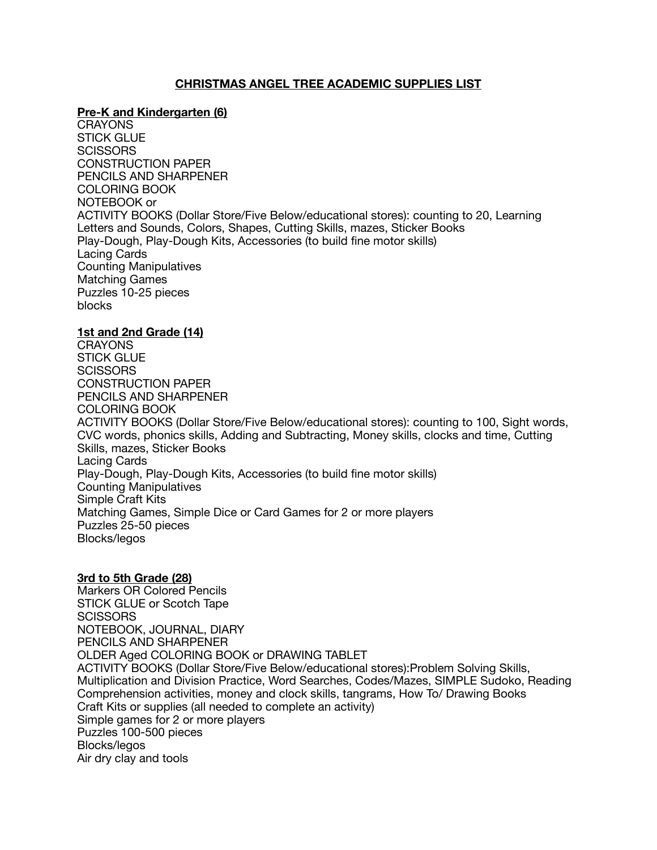# **CHRISTMAS ANGEL TREE ACADEMIC SUPPLIES LIST**

## **Pre-K and Kindergarten (6)**

**CRAYONS** STICK GLUE SCISSORS CONSTRUCTION PAPER PENCILS AND SHARPENER COLORING BOOK NOTEBOOK or ACTIVITY BOOKS (Dollar Store/Five Below/educational stores): counting to 20, Learning Letters and Sounds, Colors, Shapes, Cutting Skills, mazes, Sticker Books Play-Dough, Play-Dough Kits, Accessories (to build fine motor skills) Lacing Cards Counting Manipulatives Matching Games Puzzles 10-25 pieces blocks

#### **1st and 2nd Grade (14)**

**CRAYONS** STICK GLUE **SCISSORS** CONSTRUCTION PAPER PENCILS AND SHARPENER COLORING BOOK ACTIVITY BOOKS (Dollar Store/Five Below/educational stores): counting to 100, Sight words, CVC words, phonics skills, Adding and Subtracting, Money skills, clocks and time, Cutting Skills, mazes, Sticker Books Lacing Cards Play-Dough, Play-Dough Kits, Accessories (to build fine motor skills) Counting Manipulatives Simple Craft Kits Matching Games, Simple Dice or Card Games for 2 or more players Puzzles 25-50 pieces Blocks/legos

#### **3rd to 5th Grade (28)**

Markers OR Colored Pencils STICK GLUE or Scotch Tape **SCISSORS** NOTEBOOK, JOURNAL, DIARY PENCILS AND SHARPENER OLDER Aged COLORING BOOK or DRAWING TABLET ACTIVITY BOOKS (Dollar Store/Five Below/educational stores):Problem Solving Skills, Multiplication and Division Practice, Word Searches, Codes/Mazes, SIMPLE Sudoko, Reading Comprehension activities, money and clock skills, tangrams, How To/ Drawing Books Craft Kits or supplies (all needed to complete an activity) Simple games for 2 or more players Puzzles 100-500 pieces Blocks/legos Air dry clay and tools